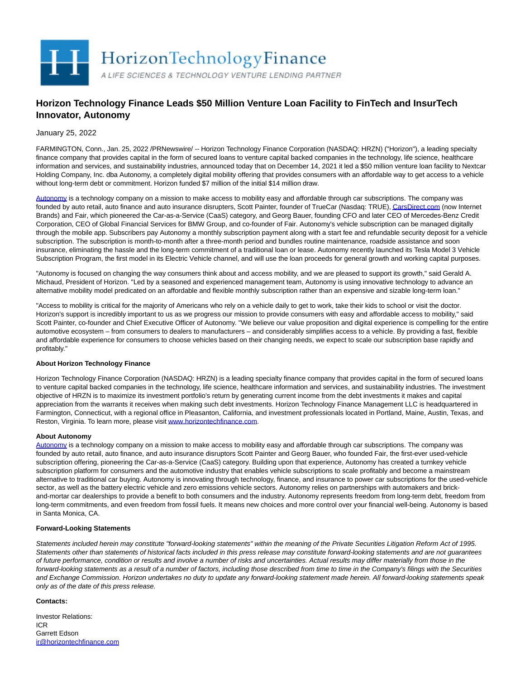

# **Horizon Technology Finance Leads \$50 Million Venture Loan Facility to FinTech and InsurTech Innovator, Autonomy**

January 25, 2022

FARMINGTON, Conn., Jan. 25, 2022 /PRNewswire/ -- Horizon Technology Finance Corporation (NASDAQ: HRZN) ("Horizon"), a leading specialty finance company that provides capital in the form of secured loans to venture capital backed companies in the technology, life science, healthcare information and services, and sustainability industries, announced today that on December 14, 2021 it led a \$50 million venture loan facility to Nextcar Holding Company, Inc. dba Autonomy, a completely digital mobility offering that provides consumers with an affordable way to get access to a vehicle without long-term debt or commitment. Horizon funded \$7 million of the initial \$14 million draw.

[Autonomy i](https://c212.net/c/link/?t=0&l=en&o=3421991-1&h=4247860413&u=https%3A%2F%2Fwww.autonomy.com%2F&a=Autonomy)s a technology company on a mission to make access to mobility easy and affordable through car subscriptions. The company was founded by auto retail, auto finance and auto insurance disrupters, Scott Painter, founder of TrueCar (Nasdaq: TRUE)[, CarsDirect.com \(](http://carsdirect.com/)now Internet Brands) and Fair, which pioneered the Car-as-a-Service (CaaS) category, and Georg Bauer, founding CFO and later CEO of Mercedes-Benz Credit Corporation, CEO of Global Financial Services for BMW Group, and co-founder of Fair. Autonomy's vehicle subscription can be managed digitally through the mobile app. Subscribers pay Autonomy a monthly subscription payment along with a start fee and refundable security deposit for a vehicle subscription. The subscription is month-to-month after a three-month period and bundles routine maintenance, roadside assistance and soon insurance, eliminating the hassle and the long-term commitment of a traditional loan or lease. Autonomy recently launched its Tesla Model 3 Vehicle Subscription Program, the first model in its Electric Vehicle channel, and will use the loan proceeds for general growth and working capital purposes.

"Autonomy is focused on changing the way consumers think about and access mobility, and we are pleased to support its growth," said Gerald A. Michaud, President of Horizon. "Led by a seasoned and experienced management team, Autonomy is using innovative technology to advance an alternative mobility model predicated on an affordable and flexible monthly subscription rather than an expensive and sizable long-term loan."

"Access to mobility is critical for the majority of Americans who rely on a vehicle daily to get to work, take their kids to school or visit the doctor. Horizon's support is incredibly important to us as we progress our mission to provide consumers with easy and affordable access to mobility," said Scott Painter, co-founder and Chief Executive Officer of Autonomy. "We believe our value proposition and digital experience is compelling for the entire automotive ecosystem – from consumers to dealers to manufacturers – and considerably simplifies access to a vehicle. By providing a fast, flexible and affordable experience for consumers to choose vehicles based on their changing needs, we expect to scale our subscription base rapidly and profitably."

## **About Horizon Technology Finance**

Horizon Technology Finance Corporation (NASDAQ: HRZN) is a leading specialty finance company that provides capital in the form of secured loans to venture capital backed companies in the technology, life science, healthcare information and services, and sustainability industries. The investment objective of HRZN is to maximize its investment portfolio's return by generating current income from the debt investments it makes and capital appreciation from the warrants it receives when making such debt investments. Horizon Technology Finance Management LLC is headquartered in Farmington, Connecticut, with a regional office in Pleasanton, California, and investment professionals located in Portland, Maine, Austin, Texas, and Reston, Virginia. To learn more, please visi[t www.horizontechfinance.com.](http://www.horizontechfinance.com/)

### **About Autonomy**

[Autonomy i](https://c212.net/c/link/?t=0&l=en&o=3421991-1&h=4247860413&u=https%3A%2F%2Fwww.autonomy.com%2F&a=Autonomy)s a technology company on a mission to make access to mobility easy and affordable through car subscriptions. The company was founded by auto retail, auto finance, and auto insurance disruptors Scott Painter and Georg Bauer, who founded Fair, the first-ever used-vehicle subscription offering, pioneering the Car-as-a-Service (CaaS) category. Building upon that experience, Autonomy has created a turnkey vehicle subscription platform for consumers and the automotive industry that enables vehicle subscriptions to scale profitably and become a mainstream alternative to traditional car buying. Autonomy is innovating through technology, finance, and insurance to power car subscriptions for the used-vehicle sector, as well as the battery electric vehicle and zero emissions vehicle sectors. Autonomy relies on partnerships with automakers and brickand-mortar car dealerships to provide a benefit to both consumers and the industry. Autonomy represents freedom from long-term debt, freedom from long-term commitments, and even freedom from fossil fuels. It means new choices and more control over your financial well-being. Autonomy is based in Santa Monica, CA.

### **Forward-Looking Statements**

Statements included herein may constitute "forward-looking statements" within the meaning of the Private Securities Litigation Reform Act of 1995. Statements other than statements of historical facts included in this press release may constitute forward-looking statements and are not guarantees of future performance, condition or results and involve a number of risks and uncertainties. Actual results may differ materially from those in the forward-looking statements as a result of a number of factors, including those described from time to time in the Company's filings with the Securities and Exchange Commission. Horizon undertakes no duty to update any forward-looking statement made herein. All forward-looking statements speak only as of the date of this press release.

### **Contacts:**

Investor Relations: ICR Garrett Edson [ir@horizontechfinance.com](mailto:ir@horizontechfinance.com)